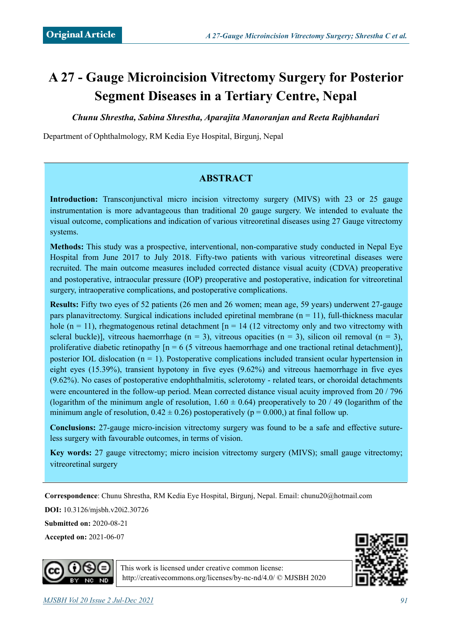# **A 27 - Gauge Microincision Vitrectomy Surgery for Posterior Segment Diseases in a Tertiary Centre, Nepal**

*Chunu Shrestha, Sabina Shrestha, Aparajita Manoranjan and Reeta Rajbhandari*

Department of Ophthalmology, RM Kedia Eye Hospital, Birgunj, Nepal

### **ABSTRACT**

**Introduction:** Transconjunctival micro incision vitrectomy surgery (MIVS) with 23 or 25 gauge instrumentation is more advantageous than traditional 20 gauge surgery. We intended to evaluate the visual outcome, complications and indication of various vitreoretinal diseases using 27 Gauge vitrectomy systems.

**Methods:** This study was a prospective, interventional, non-comparative study conducted in Nepal Eye Hospital from June 2017 to July 2018. Fifty-two patients with various vitreoretinal diseases were recruited. The main outcome measures included corrected distance visual acuity (CDVA) preoperative and postoperative, intraocular pressure (IOP) preoperative and postoperative, indication for vitreoretinal surgery, intraoperative complications, and postoperative complications.

**Results:** Fifty two eyes of 52 patients (26 men and 26 women; mean age, 59 years) underwent 27-gauge pars planavitrectomy. Surgical indications included epiretinal membrane  $(n = 11)$ , full-thickness macular hole (n = 11), rhegmatogenous retinal detachment  $[n = 14 (12 \text{ vitrectomy only and two vitrectomy with}$ scleral buckle)], vitreous haemorrhage  $(n = 3)$ , vitreous opacities  $(n = 3)$ , silicon oil removal  $(n = 3)$ , proliferative diabetic retinopathy  $[n = 6 \times 5$  vitreous haemorrhage and one tractional retinal detachment)], posterior IOL dislocation  $(n = 1)$ . Postoperative complications included transient ocular hypertension in eight eyes (15.39%), transient hypotony in five eyes (9.62%) and vitreous haemorrhage in five eyes (9.62%). No cases of postoperative endophthalmitis, sclerotomy - related tears, or choroidal detachments were encountered in the follow-up period. Mean corrected distance visual acuity improved from 20 / 796 (logarithm of the minimum angle of resolution,  $1.60 \pm 0.64$ ) preoperatively to 20 / 49 (logarithm of the minimum angle of resolution,  $0.42 \pm 0.26$ ) postoperatively (p = 0.000,) at final follow up.

**Conclusions:** 27-gauge micro-incision vitrectomy surgery was found to be a safe and effective sutureless surgery with favourable outcomes, in terms of vision.

**Key words:** 27 gauge vitrectomy; micro incision vitrectomy surgery (MIVS); small gauge vitrectomy; vitreoretinal surgery

**Correspondence**: Chunu Shrestha, RM Kedia Eye Hospital, Birgunj, Nepal. Email: [chunu20@hotmail.com](mailto:chunu20@hotmail.com)

**DOI:** 10.3126/mjsbh.v20i2.30726

**Submitted on:** 2020-08-21

**Accepted on:** 2021-06-07





This work is licensed under creative common license: <http://creativecommons.org/licenses/by-nc-nd/4.0/>© MJSBH 2020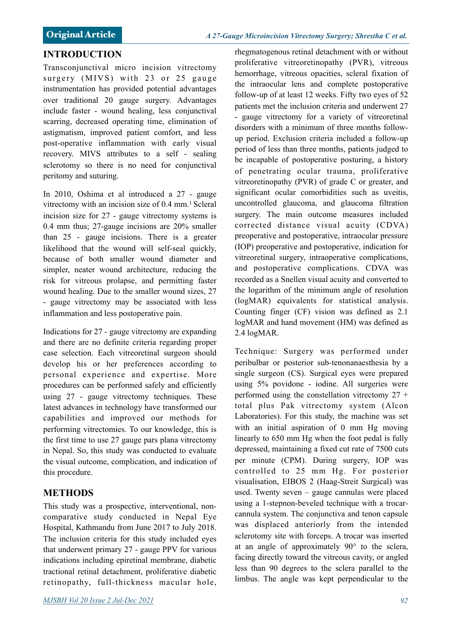#### **INTRODUCTION**

Transconjunctival micro incision vitrectomy surgery  $(MIVS)$  with 23 or 25 gauge instrumentation has provided potential advantages over traditional 20 gauge surgery. Advantages include faster - wound healing, less conjunctival scarring, decreased operating time, elimination of astigmatism, improved patient comfort, and less post-operative inflammation with early visual recovery. MIVS attributes to a self - sealing sclerotomy so there is no need for conjunctival peritomy and suturing.

In 2010, Oshima et al introduced a 27 - gauge vitrectomy with an incision size of  $0.4 \text{ mm}$ .<sup>1</sup> Scleral incision size for 27 - gauge vitrectomy systems is 0.4 mm thus; 27-gauge incisions are 20% smaller than 25 - gauge incisions. There is a greater likelihood that the wound will self-seal quickly, because of both smaller wound diameter and simpler, neater wound architecture, reducing the risk for vitreous prolapse, and permitting faster wound healing. Due to the smaller wound sizes, 27 - gauge vitrectomy may be associated with less inflammation and less postoperative pain.

Indications for 27 - gauge vitrectomy are expanding and there are no definite criteria regarding proper case selection. Each vitreoretinal surgeon should develop his or her preferences according to personal experience and expertise. More procedures can be performed safely and efficiently using 27 - gauge vitrectomy techniques. These latest advances in technology have transformed our capabilities and improved our methods for performing vitrectomies. To our knowledge, this is the first time to use 27 gauge pars plana vitrectomy in Nepal. So, this study was conducted to evaluate the visual outcome, complication, and indication of this procedure.

## **METHODS**

This study was a prospective, interventional, noncomparative study conducted in Nepal Eye Hospital, Kathmandu from June 2017 to July 2018. The inclusion criteria for this study included eyes that underwent primary 27 - gauge PPV for various indications including epiretinal membrane, diabetic tractional retinal detachment, proliferative diabetic retinopathy, full-thickness macular hole, rhegmatogenous retinal detachment with or without proliferative vitreoretinopathy (PVR), vitreous hemorrhage, vitreous opacities, scleral fixation of the intraocular lens and complete postoperative follow-up of at least 12 weeks. Fifty two eyes of 52 patients met the inclusion criteria and underwent 27 - gauge vitrectomy for a variety of vitreoretinal disorders with a minimum of three months followup period. Exclusion criteria included a follow-up period of less than three months, patients judged to be incapable of postoperative posturing, a history of penetrating ocular trauma, proliferative vitreoretinopathy (PVR) of grade C or greater, and significant ocular comorbidities such as uveitis, uncontrolled glaucoma, and glaucoma filtration surgery. The main outcome measures included corrected distance visual acuity (CDVA) preoperative and postoperative, intraocular pressure (IOP) preoperative and postoperative, indication for vitreoretinal surgery, intraoperative complications, and postoperative complications. CDVA was recorded as a Snellen visual acuity and converted to the logarithm of the minimum angle of resolution (logMAR) equivalents for statistical analysis. Counting finger (CF) vision was defined as 2.1 logMAR and hand movement (HM) was defined as 2.4 logMAR.

Technique: Surgery was performed under peribulbar or posterior sub-tenonanaesthesia by a single surgeon (CS). Surgical eyes were prepared using 5% povidone - iodine. All surgeries were performed using the constellation vitrectomy  $27 +$ total plus Pak vitrectomy system (Alcon Laboratories). For this study, the machine was set with an initial aspiration of 0 mm Hg moving linearly to 650 mm Hg when the foot pedal is fully depressed, maintaining a fixed cut rate of 7500 cuts per minute (CPM). During surgery, IOP was controlled to 25 mm Hg. For posterior visualisation, EIBOS 2 (Haag-Streit Surgical) was used. Twenty seven – gauge cannulas were placed using a 1-stepnon-beveled technique with a trocarcannula system. The conjunctiva and tenon capsule was displaced anteriorly from the intended sclerotomy site with forceps. A trocar was inserted at an angle of approximately 90° to the sclera, facing directly toward the vitreous cavity, or angled less than 90 degrees to the sclera parallel to the limbus. The angle was kept perpendicular to the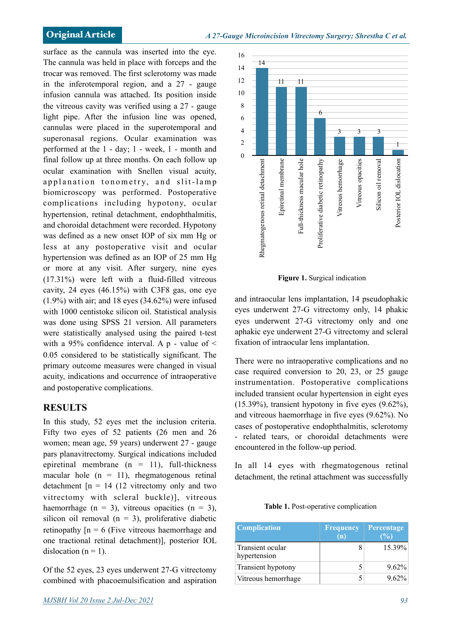surface as the cannula was inserted into the eye. The cannula was held in place with forceps and the trocar was removed. The first sclerotomy was made in the inferotemporal region, and a 27 - gauge infusion cannula was attached. Its position inside the vitreous cavity was verified using a 27 - gauge light pipe. After the infusion line was opened, cannulas were placed in the superotemporal and superonasal regions. Ocular examination was performed at the 1 - day; 1 - week, 1 - month and final follow up at three months. On each follow up ocular examination with Snellen visual acuity, applanation tonometry, and slit-lamp biomicroscopy was performed. Postoperative complications including hypotony, ocular hypertension, retinal detachment, endophthalmitis, and choroidal detachment were recorded. Hypotony was defined as a new onset IOP of six mm Hg or less at any postoperative visit and ocular hypertension was defined as an IOP of 25 mm Hg or more at any visit. After surgery, nine eyes (17.31%) were left with a fluid-filled vitreous cavity, 24 eyes (46.15%) with C3F8 gas, one eye (1.9%) with air; and 18 eyes (34.62%) were infused with 1000 centistoke silicon oil. Statistical analysis was done using SPSS 21 version. All parameters were statistically analysed using the paired t-test with a 95% confidence interval. A p - value of  $\leq$ 0.05 considered to be statistically significant. The primary outcome measures were changed in visual acuity, indications and occurrence of intraoperative and postoperative complications.

### **RESULTS**

In this study, 52 eyes met the inclusion criteria. Fifty two eyes of 52 patients (26 men and 26 women; mean age, 59 years) underwent 27 - gauge pars planavitrectomy. Surgical indications included epiretinal membrane  $(n = 11)$ , full-thickness macular hole  $(n = 11)$ , rhegmatogenous retinal detachment  $[n = 14 (12 vitrectomy only and two$ vitrectomy with scleral buckle)], vitreous haemorrhage  $(n = 3)$ , vitreous opacities  $(n = 3)$ , silicon oil removal  $(n = 3)$ , proliferative diabetic retinopathy  $[n = 6$  (Five vitreous haemorrhage and one tractional retinal detachment)], posterior IOL dislocation  $(n = 1)$ .

Of the 52 eyes, 23 eyes underwent 27-G vitrectomy combined with phacoemulsification and aspiration



**Figure 1.** Surgical indication

and intraocular lens implantation, 14 pseudophakic eyes underwent 27-G vitrectomy only, 14 phakic eyes underwent 27-G vitrectomy only and one aphakic eye underwent 27-G vitrectomy and scleral fixation of intraocular lens implantation.

There were no intraoperative complications and no case required conversion to 20, 23, or 25 gauge instrumentation. Postoperative complications included transient ocular hypertension in eight eyes (15.39%), transient hypotony in five eyes (9.62%), and vitreous haemorrhage in five eyes (9.62%). No cases of postoperative endophthalmitis, sclerotomy - related tears, or choroidal detachments were encountered in the follow-up period.

In all 14 eyes with rhegmatogenous retinal detachment, the retinal attachment was successfully

**Table 1.** Post-operative complication

| <b>Complication</b>              | <b>Frequency</b><br>(n) | <b>Percentage</b><br>$($ % $)$ |
|----------------------------------|-------------------------|--------------------------------|
| Transient ocular<br>hypertension |                         | 15.39%                         |
| Transient hypotony               |                         | $9.62\%$                       |
| Vitreous hemorrhage              |                         | $9.62\%$                       |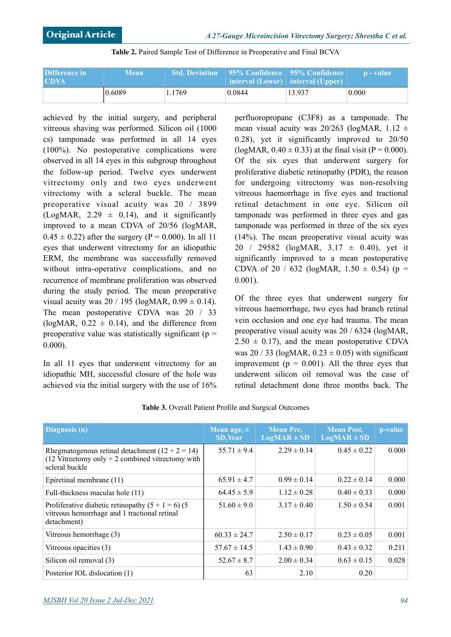| Difference in<br><b>CDVA</b> | <b>Mean</b> | <b>Std. Deviation</b> | 95% Confidence    95% Confidence  <br>$\blacksquare$ interval (Lower) $\blacksquare$ interval (Upper) |        | n - value l |
|------------------------------|-------------|-----------------------|-------------------------------------------------------------------------------------------------------|--------|-------------|
|                              | 0.6089      | 1.1769                | 0.0844                                                                                                | 13.937 | 0.000       |

#### **Table 2.** Paired Sample Test of Difference in Preoperative and Final BCVA

achieved by the initial surgery, and peripheral vitreous shaving was performed. Silicon oil (1000 cs) tamponade was performed in all 14 eyes (100%). No postoperative complications were observed in all 14 eyes in this subgroup throughout the follow-up period. Twelve eyes underwent vitrectomy only and two eyes underwent vitrectomy with a scleral buckle. The mean preoperative visual acuity was 20 / 3899 (LogMAR,  $2.29 \pm 0.14$ ), and it significantly improved to a mean CDVA of 20/56 (logMAR,  $0.45 \pm 0.22$ ) after the surgery (P = 0.000). In all 11 eyes that underwent vitrectomy for an idiopathic ERM, the membrane was successfully removed without intra-operative complications, and no recurrence of membrane proliferation was observed during the study period. The mean preoperative visual acuity was  $20 / 195$  (logMAR,  $0.99 \pm 0.14$ ). The mean postoperative CDVA was 20 / 33 (logMAR,  $0.22 \pm 0.14$ ), and the difference from preoperative value was statistically significant ( $p =$ 0.000).

In all 11 eyes that underwent vitrectomy for an idiopathic MH, successful closure of the hole was achieved via the initial surgery with the use of 16% perfluoropropane (C3F8) as a tamponade. The mean visual acuity was  $20/263$  (logMAR,  $1.12 \pm$ 0.28), yet it significantly improved to 20/50 (logMAR,  $0.40 \pm 0.33$ ) at the final visit (P = 0.000). Of the six eyes that underwent surgery for proliferative diabetic retinopathy (PDR), the reason for undergoing vitrectomy was non-resolving vitreous haemorrhage in five eyes and tractional retinal detachment in one eye. Silicon oil tamponade was performed in three eyes and gas tamponade was performed in three of the six eyes (14%). The mean preoperative visual acuity was 20 / 29582 (logMAR,  $3.17 \pm 0.40$ ), yet it significantly improved to a mean postoperative CDVA of 20 / 632 (logMAR,  $1.50 \pm 0.54$ ) (p = 0.001).

Of the three eyes that underwent surgery for vitreous haemorrhage, two eyes had branch retinal vein occlusion and one eye had trauma. The mean preoperative visual acuity was 20 / 6324 (logMAR,  $2.50 \pm 0.17$ ), and the mean postoperative CDVA was  $20/33$  (logMAR,  $0.23 \pm 0.05$ ) with significant improvement ( $p = 0.001$ ). All the three eyes that underwent silicon oil removal was the case of retinal detachment done three months back. The

| Diagnosis <sub>(n)</sub>                                                                                                  | Mean age, $\pm$<br><b>SD, Year</b> | <b>Mean Pre,</b><br>$LogMAR \pm SD$ | <b>Mean Post,</b><br>$LogMAR \pm SD$ | p-value |
|---------------------------------------------------------------------------------------------------------------------------|------------------------------------|-------------------------------------|--------------------------------------|---------|
| Rhegmatogenous retinal detachment $(12 + 2 = 14)$<br>$(12 Vitrectomy only + 2 combined vitrectomy with$<br>scleral buckle | $55.71 \pm 9.4$                    | $2.29 \pm 0.14$                     | $0.45 \pm 0.22$                      | 0.000   |
| Epiretinal membrane (11)                                                                                                  | $65.91 \pm 4.7$                    | $0.99 \pm 0.14$                     | $0.22 \pm 0.14$                      | 0.000   |
| Full-thickness macular hole (11)                                                                                          | $64.45 \pm 5.9$                    | $1.12 \pm 0.28$                     | $0.40 \pm 0.33$                      | 0.000   |
| Proliferative diabetic retinopathy $(5 + 1 = 6)$ (5)<br>vitreous hemorrhage and 1 tractional retinal<br>detachment)       | $51.60 \pm 9.0$                    | $3.17 \pm 0.40$                     | $1.50 \pm 0.54$                      | 0.001   |
| Vitreous hemorrhage (3)                                                                                                   | $60.33 \pm 24.7$                   | $2.50 \pm 0.17$                     | $0.23 \pm 0.05$                      | 0.001   |
| Vitreous opacities (3)                                                                                                    | $57.67 \pm 14.5$                   | $1.43 \pm 0.90$                     | $0.43 \pm 0.32$                      | 0.211   |
| Silicon oil removal (3)                                                                                                   | $52.67 \pm 8.7$                    | $2.00 \pm 0.34$                     | $0.63 \pm 0.15$                      | 0.028   |
| Posterior IOL dislocation (1)                                                                                             | 63                                 | 2.10                                | 0.20                                 |         |

**Table 3.** Overall Patient Profile and Surgical Outcomes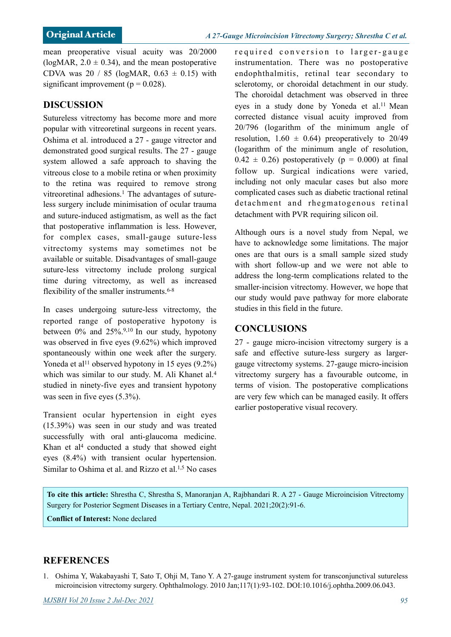mean preoperative visual acuity was 20/2000 (logMAR,  $2.0 \pm 0.34$ ), and the mean postoperative CDVA was 20 / 85 (logMAR,  $0.63 \pm 0.15$ ) with significant improvement ( $p = 0.028$ ).

### **DISCUSSION**

Sutureless vitrectomy has become more and more popular with vitreoretinal surgeons in recent years. Oshima et al. introduced a 27 - gauge vitrector and demonstrated good surgical results. The 27 - gauge system allowed a safe approach to shaving the vitreous close to a mobile retina or when proximity to the retina was required to remove strong vitreoretinal adhesions.<sup>1</sup> The advantages of sutureless surgery include minimisation of ocular trauma and suture-induced astigmatism, as well as the fact that postoperative inflammation is less. However, for complex cases, small-gauge suture-less vitrectomy systems may sometimes not be available or suitable. Disadvantages of small-gauge suture-less vitrectomy include prolong surgical time during vitrectomy, as well as increased flexibility of the smaller instruments.<sup>6-8</sup>

In cases undergoing suture-less vitrectomy, the reported range of postoperative hypotony is between  $0\%$  and  $25\%$ .<sup>9,10</sup> In our study, hypotony was observed in five eyes (9.62%) which improved spontaneously within one week after the surgery. Yoneda et al<sup>11</sup> observed hypotony in 15 eyes  $(9.2\%)$ which was similar to our study. [M. Ali Khane](javascript:void(0);)t al.<sup>4</sup> studied in ninety-five eyes and transient hypotony was seen in five eyes (5.3%).

Transient ocular hypertension in eight eyes (15.39%) was seen in our study and was treated successfully with oral anti-glaucoma medicine. Khan et al<sup>4</sup> conducted a study that showed eight eyes (8.4%) with transient ocular hypertension. Similar to Oshima et al. and Rizzo et al.1,5 No cases

required conversion to larger-gauge instrumentation. There was no postoperative endophthalmitis, retinal tear secondary to sclerotomy, or choroidal detachment in our study. The choroidal detachment was observed in three eyes in a study done by Yoneda et al.<sup>11</sup> Mean corrected distance visual acuity improved from 20/796 (logarithm of the minimum angle of resolution,  $1.60 \pm 0.64$  preoperatively to 20/49 (logarithm of the minimum angle of resolution,  $0.42 \pm 0.26$ ) postoperatively (p = 0.000) at final follow up. Surgical indications were varied, including not only macular cases but also more complicated cases such as diabetic tractional retinal detachment and rhegmatogenous retinal detachment with PVR requiring silicon oil.

Although ours is a novel study from Nepal, we have to acknowledge some limitations. The major ones are that ours is a small sample sized study with short follow-up and we were not able to address the long-term complications related to the smaller-incision vitrectomy. However, we hope that our study would pave pathway for more elaborate studies in this field in the future.

### **CONCLUSIONS**

27 - gauge micro-incision vitrectomy surgery is a safe and effective suture-less surgery as largergauge vitrectomy systems. 27-gauge micro-incision vitrectomy surgery has a favourable outcome, in terms of vision. The postoperative complications are very few which can be managed easily. It offers earlier postoperative visual recovery.

**To cite this article:** Shrestha C, Shrestha S, Manoranjan A, Rajbhandari R. A 27 - Gauge Microincision Vitrectomy Surgery for Posterior Segment Diseases in a Tertiary Centre, Nepal. 2021;20(2):91-6.

**Conflict of Interest:** None declared

### **REFERENCES**

1. Oshima Y, Wakabayashi T, Sato T, Ohji M, Tano Y. A 27-gauge instrument system for transconjunctival sutureless microincision vitrectomy surgery. Ophthalmology. 2010 Jan;117(1):93-102. DOI:10.1016/j.ophtha.2009.06.043.